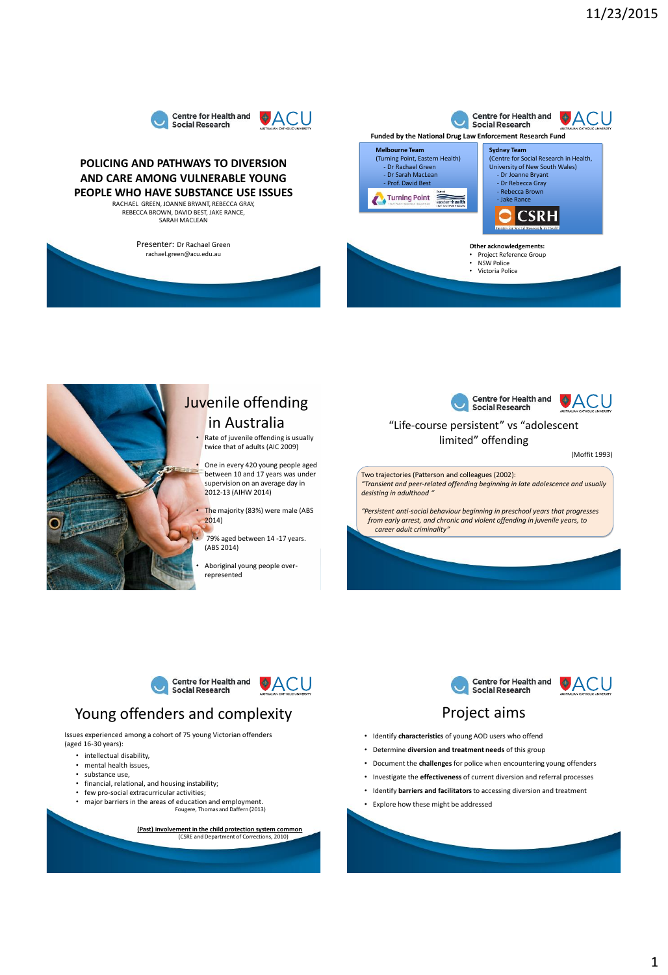



### **POLICING AND PATHWAYS TO DIVERSION AND CARE AMONG VULNERABLE YOUNG PEOPLE WHO HAVE SUBSTANCE USE ISSUES**

RACHAEL GREEN, JOANNE BRYANT, REBECCA GRAY, REBECCA BROWN, DAVID BEST, JAKE RANCE, SARAH MACLEAN

Presenter: Dr Rachael Green rachael.green@acu.edu.au





# Juvenile offending in Australia

• Rate of juvenile offending is usually twice that of adults (AIC 2009)

• One in every 420 young people aged between 10 and 17 years was under supervision on an average day in 2012-13 (AIHW 2014)

The majority (83%) were male (ABS 2014)

79% aged between 14 -17 years. (ABS 2014)

• Aboriginal young people overrepresented



### "Life-course persistent" vs "adolescent limited" offending

(Moffit 1993)

Two trajectories (Patterson and colleagues (2002): *"Transient and peer-related offending beginning in late adolescence and usually desisting in adulthood "*

*"Persistent anti-social behaviour beginning in preschool years that progresses from early arrest, and chronic and violent offending in juvenile years, to career adult criminality"*

# **Centre for Health and<br>Social Research**

# **OACU**

# Young offenders and complexity

Issues experienced among a cohort of 75 young Victorian offenders (aged 16-30 years):

- intellectual disability,
- mental health issues,
- substance use,
- financial, relational, and housing instability;
- few pro-social extracurricular activities;
- major barriers in the areas of education and employment. Fougere, Thomas and Daffern (2013)

**(Past) involvement in the child protection system common** .<br>Tent of Corrections, 2010)



## Project aims

- Identify **characteristics** of young AOD users who offend
- Determine **diversion and treatment needs** of this group
- Document the **challenges** for police when encountering young offenders
- Investigate the **effectiveness** of current diversion and referral processes
- Identify **barriers and facilitators** to accessing diversion and treatment
- Explore how these might be addressed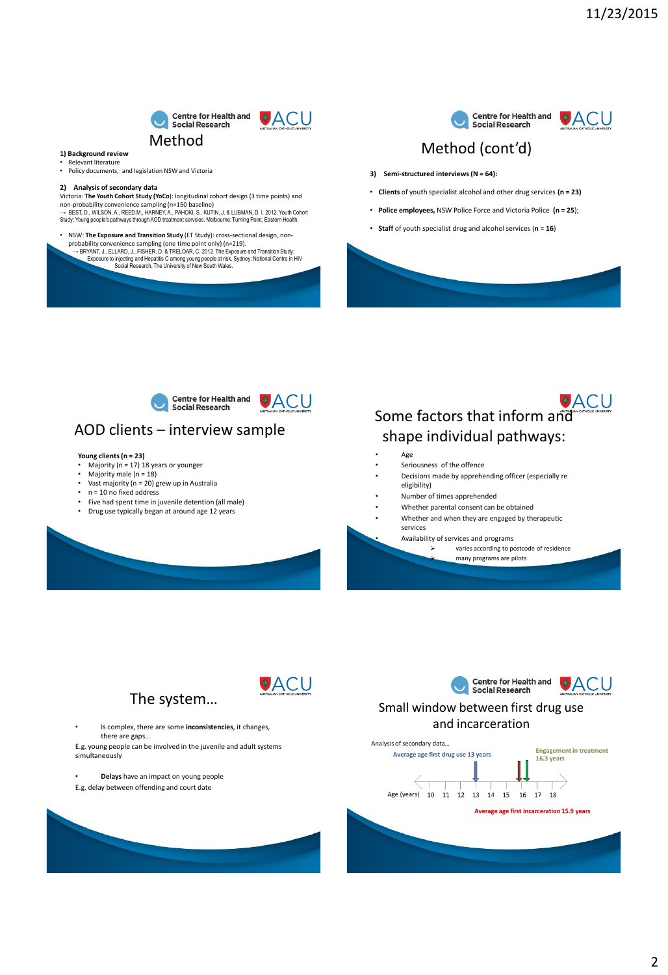

ACU

#### **1) Background review**

- 
- Relevant literature Policy documents, and legislation NSW and Victoria

#### **2) Analysis of secondary data**

Victoria: **The Youth Cohort Study (YoCo)**: longitudinal cohort design (3 time points) and<br>non-probability convenience sampling (n=150 baseline)<br>→ BEST, D., WILSON, A., REED.M., HARNEY, A., PAHOKI, S., KUTIN, J. & LUBMAN, Study: Young people's pathways through AOD treatment servcies. Melbourne: Turning Point, Eastern Health.

- 
- NSW: The Exposure and Transition Study (ET Study): cross-sectional design, non-<br>probability convenience sampling (one time point only) (n=219).<br>
 BRYANT, J., ELLARD, J., FISHER, D. & TRELOAR, C. 2012. The Exposure and T



### Method (cont'd)

- **3) Semi-structured interviews (N = 64):**
- **Clients** of youth specialist alcohol and other drug services **(n = 23)**
- **Police employees,** NSW Police Force and Victoria Police **(n = 25**);
- **Staff** of youth specialist drug and alcohol services (**n = 16**)



### AOD clients – interview sample

#### **Young clients (n = 23)**

- $m<sub>g</sub>$  and  $n<sub>u</sub>$  is  $n<sub>u</sub>$  is  $n<sub>u</sub>$  is years or younger
- Majority male  $(n = 18)$ <br>• Vast majority  $(n = 20)$ • Vast majority (n = 20) grew up in Australia
- $n = 10$  no fixed address
- Five had spent time in juvenile detention (all male)
- Drug use typically began at around age 12 years
- 



- - Seriousness of the offence
- Decisions made by apprehending officer (especially re eligibility)
- Number of times apprehended
- Whether parental consent can be obtained
- Whether and when they are engaged by therapeutic services

• Availability of services and programs

 varies according to postcode of residence many programs are pilots



**OACU** 

• Is complex, there are some **inconsistencies**, it changes, there are gaps…

E.g. young people can be involved in the juvenile and adult systems simultaneously

• **Delays** have an impact on young people

E.g. delay between offending and court date